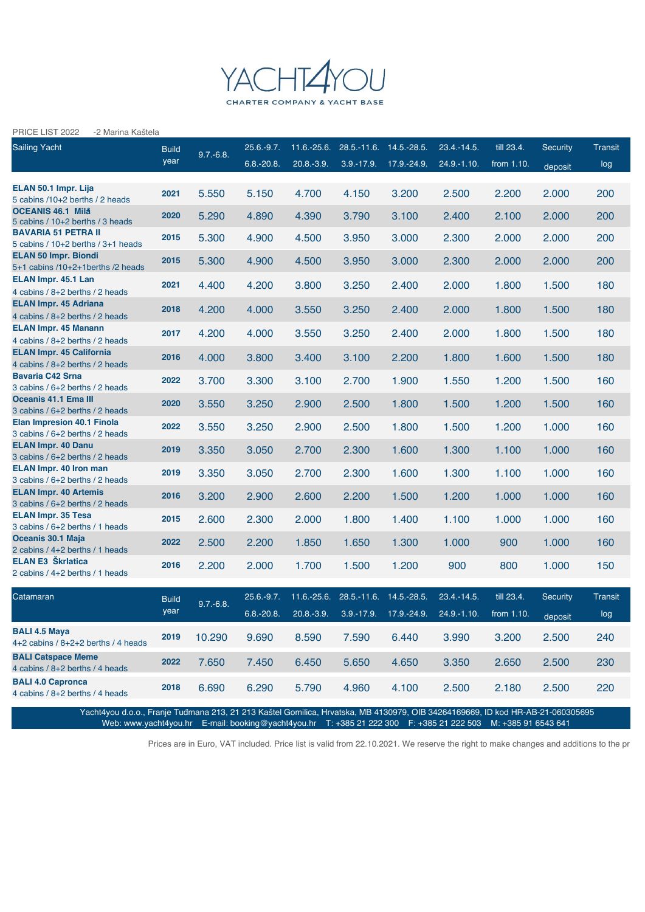

## PRICE LIST 2022 -2 Marina Kaštela

| <b>Sailing Yacht</b>                                                                                                           | <b>Build</b> | $9.7 - 6.8$ . | $25.6 - 9.7$ . | $11.6 - 25.6$ . |                | 28.5.-11.6. 14.5.-28.5. | 23.4.-14.5.     | till 23.4. | <b>Security</b> | <b>Transit</b> |
|--------------------------------------------------------------------------------------------------------------------------------|--------------|---------------|----------------|-----------------|----------------|-------------------------|-----------------|------------|-----------------|----------------|
|                                                                                                                                | year         |               | $6.8 - 20.8$ . | $20.8 - 3.9$ .  | $3.9 - 17.9$ . | 17.9.-24.9.             | $24.9 - 1.10.$  | from 1.10. | deposit         | log            |
|                                                                                                                                |              |               |                |                 |                |                         |                 |            |                 |                |
| ELAN 50.1 Impr. Lija<br>5 cabins /10+2 berths / 2 heads                                                                        | 2021         | 5.550         | 5.150          | 4.700           | 4.150          | 3.200                   | 2.500           | 2.200      | 2.000           | 200            |
| <b>OCEANIS 46.1 Milå</b>                                                                                                       | 2020         | 5.290         | 4.890          | 4.390           | 3.790          | 3.100                   | 2.400           | 2.100      | 2.000           | 200            |
| 5 cabins / 10+2 berths / 3 heads<br><b>BAVARIA 51 PETRA II</b>                                                                 | 2015         | 5.300         | 4.900          | 4.500           | 3.950          | 3.000                   | 2.300           | 2.000      | 2.000           | 200            |
| 5 cabins $/ 10+2$ berths $/ 3+1$ heads                                                                                         |              |               |                |                 |                |                         |                 |            |                 |                |
| <b>ELAN 50 Impr. Biondi</b><br>5+1 cabins /10+2+1berths /2 heads                                                               | 2015         | 5.300         | 4.900          | 4.500           | 3.950          | 3.000                   | 2.300           | 2.000      | 2.000           | 200            |
| ELAN Impr. 45.1 Lan                                                                                                            | 2021         | 4.400         | 4.200          | 3.800           | 3.250          | 2.400                   | 2.000           | 1.800      | 1.500           | 180            |
| 4 cabins / 8+2 berths / 2 heads                                                                                                |              |               |                |                 |                |                         |                 |            |                 |                |
| <b>ELAN Impr. 45 Adriana</b><br>4 cabins / 8+2 berths / 2 heads                                                                | 2018         | 4.200         | 4.000          | 3.550           | 3.250          | 2.400                   | 2.000           | 1.800      | 1.500           | 180            |
| <b>ELAN Impr. 45 Manann</b>                                                                                                    | 2017         | 4.200         | 4.000          | 3.550           | 3.250          | 2.400                   | 2.000           | 1.800      | 1.500           | 180            |
| 4 cabins / 8+2 berths / 2 heads                                                                                                |              |               |                |                 |                |                         |                 |            |                 |                |
| <b>ELAN Impr. 45 California</b><br>4 cabins / 8+2 berths / 2 heads                                                             | 2016         | 4.000         | 3.800          | 3.400           | 3.100          | 2.200                   | 1.800           | 1.600      | 1.500           | 180            |
| <b>Bavaria C42 Srna</b>                                                                                                        | 2022         | 3.700         |                | 3.100           |                | 1.900                   | 1.550           |            | 1.500           | 160            |
| 3 cabins / 6+2 berths / 2 heads                                                                                                |              |               | 3.300          |                 | 2.700          |                         |                 | 1.200      |                 |                |
| Oceanis 41.1 Ema III<br>3 cabins / 6+2 berths / 2 heads                                                                        | 2020         | 3.550         | 3.250          | 2.900           | 2.500          | 1.800                   | 1.500           | 1.200      | 1.500           | 160            |
| Elan Impresion 40.1 Finola                                                                                                     | 2022         | 3.550         | 3.250          | 2.900           | 2.500          | 1.800                   | 1.500           | 1.200      | 1.000           | 160            |
| 3 cabins / 6+2 berths / 2 heads                                                                                                |              |               |                |                 |                |                         |                 |            |                 |                |
| <b>ELAN Impr. 40 Danu</b><br>3 cabins / 6+2 berths / 2 heads                                                                   | 2019         | 3.350         | 3.050          | 2.700           | 2.300          | 1.600                   | 1.300           | 1.100      | 1.000           | 160            |
| <b>ELAN Impr. 40 Iron man</b><br>3 cabins / 6+2 berths / 2 heads                                                               | 2019         | 3.350         | 3.050          | 2.700           | 2.300          | 1.600                   | 1.300           | 1.100      | 1.000           | 160            |
| <b>ELAN Impr. 40 Artemis</b>                                                                                                   | 2016         | 3.200         | 2.900          | 2.600           | 2.200          | 1.500                   | 1.200           | 1.000      | 1.000           | 160            |
| 3 cabins / 6+2 berths / 2 heads                                                                                                |              |               |                |                 |                |                         |                 |            |                 |                |
| <b>ELAN Impr. 35 Tesa</b><br>3 cabins / 6+2 berths / 1 heads                                                                   | 2015         | 2.600         | 2.300          | 2.000           | 1.800          | 1.400                   | 1.100           | 1.000      | 1.000           | 160            |
| Oceanis 30.1 Maja<br>2 cabins / 4+2 berths / 1 heads                                                                           | 2022         | 2.500         | 2.200          | 1.850           | 1.650          | 1.300                   | 1.000           | 900        | 1.000           | 160            |
| <b>ELAN E3 Škrlatica</b>                                                                                                       | 2016         | 2.200         | 2.000          | 1.700           | 1.500          | 1.200                   | 900             | 800        | 1.000           | 150            |
| 2 cabins / 4+2 berths / 1 heads                                                                                                |              |               |                |                 |                |                         |                 |            |                 |                |
| Catamaran                                                                                                                      | <b>Build</b> |               | $25.6 - 9.7$ . | $11.6 - 25.6$ . |                | 28.5.-11.6. 14.5.-28.5. | $23.4 - 14.5$ . | till 23.4. | Security        | <b>Transit</b> |
|                                                                                                                                | year         | $9.7 - 6.8$ . | $6.8 - 20.8$ . | $20.8 - 3.9$ .  | $3.9 - 17.9$ . | 17.9.-24.9.             | 24.9.-1.10.     | from 1.10. | deposit         | log            |
| <b>BALI 4.5 Maya</b><br>4+2 cabins / 8+2+2 berths / 4 heads                                                                    | 2019         | 10.290        | 9.690          | 8.590           | 7.590          | 6.440                   | 3.990           | 3.200      | 2.500           | 240            |
| <b>BALI Catspace Meme</b><br>4 cabins / 8+2 berths / 4 heads                                                                   | 2022         | 7.650         | 7.450          | 6.450           | 5.650          | 4.650                   | 3.350           | 2.650      | 2.500           | 230            |
| <b>BALI 4.0 Capronca</b><br>4 cabins / 8+2 berths / 4 heads                                                                    | 2018         | 6.690         | 6.290          | 5.790           | 4.960          | 4.100                   | 2.500           | 2.180      | 2.500           | 220            |
| Yacht4you d.o.o., Franje Tuđmana 213, 21 213 Kaštel Gomilica, Hrvatska, MB 4130979, OIB 34264169669, ID kod HR-AB-21-060305695 |              |               |                |                 |                |                         |                 |            |                 |                |

Web: www.yacht4you.hr E-mail: booking@yacht4you.hr T: +385 21 222 300 F: +385 21 222 503 M: +385 91 6543 641

Prices are in Euro, VAT included. Price list is valid from 22.10.2021. We reserve the right to make changes and additions to the pr